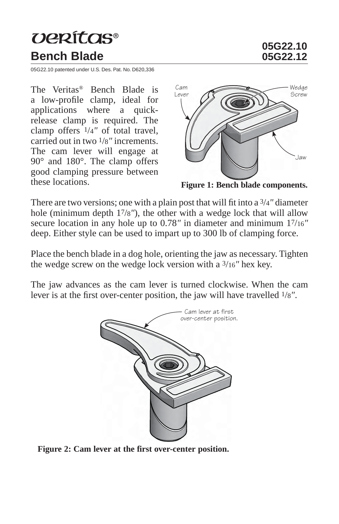## verítas® **Bench Blade**

**05G22.10**

05G22.10 patented under U.S. Des. Pat. No. D620,336

The Veritas® Bench Blade is a low-profile clamp, ideal for applications where a quickrelease clamp is required. The clamp offers 1/4*"* of total travel, carried out in two 1/8*"* increments. The cam lever will engage at 90° and 180°. The clamp offers good clamping pressure between these locations.



**Figure 1: Bench blade components.**

There are two versions; one with a plain post that will fit into a  $\frac{3}{4}$ " diameter hole (minimum depth 17/8*"*), the other with a wedge lock that will allow secure location in any hole up to 0.78*"* in diameter and minimum 17/16*"* deep. Either style can be used to impart up to 300 lb of clamping force.

Place the bench blade in a dog hole, orienting the jaw as necessary. Tighten the wedge screw on the wedge lock version with a 3/16*"* hex key.

The jaw advances as the cam lever is turned clockwise. When the cam lever is at the first over-center position, the jaw will have travelled  $1/8$ ".



**Figure 2: Cam lever at the first over-center position.**